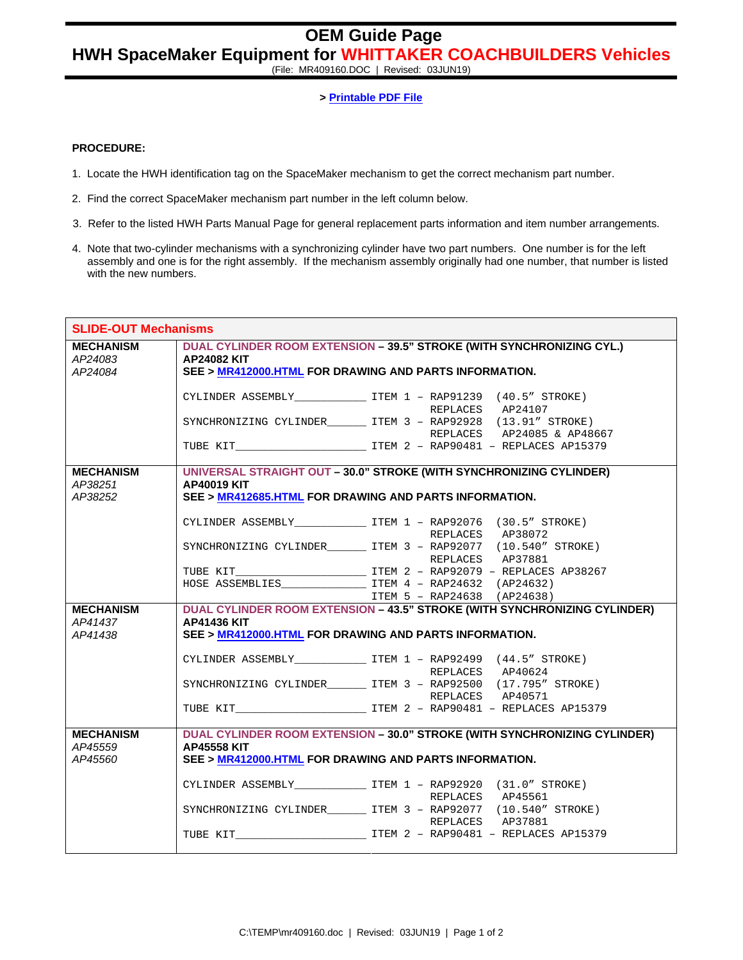## **OEM Guide Page**

## **HWH SpaceMaker Equipment for WHITTAKER COACHBUILDERS Vehicles**

(File: MR409160.DOC | Revised: 03JUN19)

**> Printable PDF File**

## **PROCEDURE:**

- 1. Locate the HWH identification tag on the SpaceMaker mechanism to get the correct mechanism part number.
- 2. Find the correct SpaceMaker mechanism part number in the left column below.
- 3. Refer to the listed HWH Parts Manual Page for general replacement parts information and item number arrangements.
- 4. Note that two-cylinder mechanisms with a synchronizing cylinder have two part numbers. One number is for the left assembly and one is for the right assembly. If the mechanism assembly originally had one number, that number is listed with the new numbers.

| <b>SLIDE-OUT Mechanisms</b> |                                                                       |                                                                                        |  |
|-----------------------------|-----------------------------------------------------------------------|----------------------------------------------------------------------------------------|--|
| <b>MECHANISM</b>            | DUAL CYLINDER ROOM EXTENSION - 39.5" STROKE (WITH SYNCHRONIZING CYL.) |                                                                                        |  |
| AP24083                     | <b>AP24082 KIT</b>                                                    |                                                                                        |  |
| AP24084                     | SEE > MR412000.HTML FOR DRAWING AND PARTS INFORMATION.                |                                                                                        |  |
|                             |                                                                       |                                                                                        |  |
|                             |                                                                       | CYLINDER ASSEMBLY________________ ITEM 1 - RAP91239 (40.5" STROKE)<br>REPLACES AP24107 |  |
|                             |                                                                       | SYNCHRONIZING CYLINDER ITEM 3 - RAP92928 (13.91" STROKE)                               |  |
|                             |                                                                       | REPLACES AP24085 & AP48667                                                             |  |
|                             |                                                                       |                                                                                        |  |
|                             |                                                                       |                                                                                        |  |
| <b>MECHANISM</b>            |                                                                       | UNIVERSAL STRAIGHT OUT - 30.0" STROKE (WITH SYNCHRONIZING CYLINDER)                    |  |
| AP38251                     | <b>AP40019 KIT</b>                                                    |                                                                                        |  |
| AP38252                     | SEE > MR412685.HTML FOR DRAWING AND PARTS INFORMATION.                |                                                                                        |  |
|                             |                                                                       |                                                                                        |  |
|                             |                                                                       |                                                                                        |  |
|                             |                                                                       | REPLACES AP38072<br>SYNCHRONIZING CYLINDER_______ ITEM 3 - RAP92077 (10.540" STROKE)   |  |
|                             |                                                                       | REPLACES AP37881                                                                       |  |
|                             |                                                                       |                                                                                        |  |
|                             |                                                                       | $HOSE$ ASSEMBLIES $ITEM$ 4 - RAP24632 (AP24632)                                        |  |
|                             |                                                                       | ITEM 5 - RAP24638 (AP24638)                                                            |  |
| <b>MECHANISM</b>            |                                                                       | DUAL CYLINDER ROOM EXTENSION - 43.5" STROKE (WITH SYNCHRONIZING CYLINDER)              |  |
| AP41437                     | <b>AP41436 KIT</b>                                                    |                                                                                        |  |
| AP41438                     | SEE > MR412000.HTML FOR DRAWING AND PARTS INFORMATION.                |                                                                                        |  |
|                             |                                                                       |                                                                                        |  |
|                             |                                                                       | CYLINDER ASSEMBLY______________________ ITEM 1 - RAP92499 (44.5" STROKE)               |  |
|                             |                                                                       | REPLACES AP40624                                                                       |  |
|                             |                                                                       | SYNCHRONIZING CYLINDER ITEM 3 - RAP92500 (17.795" STROKE)                              |  |
|                             |                                                                       | REPLACES AP40571                                                                       |  |
|                             |                                                                       |                                                                                        |  |
| <b>MECHANISM</b>            |                                                                       | DUAL CYLINDER ROOM EXTENSION - 30.0" STROKE (WITH SYNCHRONIZING CYLINDER)              |  |
| AP45559                     | <b>AP45558 KIT</b>                                                    |                                                                                        |  |
| AP45560                     | SEE > MR412000.HTML FOR DRAWING AND PARTS INFORMATION.                |                                                                                        |  |
|                             |                                                                       |                                                                                        |  |
|                             |                                                                       |                                                                                        |  |
|                             |                                                                       | REPLACES AP45561                                                                       |  |
|                             |                                                                       | SYNCHRONIZING CYLINDER _______ ITEM 3 - RAP92077 (10.540" STROKE)                      |  |
|                             |                                                                       | REPLACES AP37881                                                                       |  |
|                             |                                                                       |                                                                                        |  |
|                             |                                                                       |                                                                                        |  |